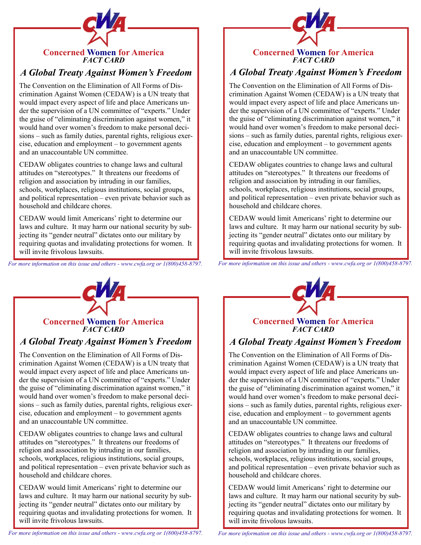

# *A Global Treaty Against Women's Freedom*

The Convention on the Elimination of All Forms of Discrimination Against Women (CEDAW) is a UN treaty that would impact every aspect of life and place Americans under the supervision of a UN committee of "experts." Under the guise of "eliminating discrimination against women," it would hand over women's freedom to make personal decisions – such as family duties, parental rights, religious exercise, education and employment – to government agents and an unaccountable UN committee.

CEDAW obligates countries to change laws and cultural attitudes on "stereotypes." It threatens our freedoms of religion and association by intruding in our families, schools, workplaces, religious institutions, social groups, and political representation – even private behavior such as household and childcare chores.

CEDAW would limit Americans' right to determine our laws and culture. It may harm our national security by subjecting its "gender neutral" dictates onto our military by requiring quotas and invalidating protections for women. It will invite frivolous lawsuits.

*For more information on this issue and others - www.cwfa.org or 1(800)458-8797.*



## **Concerned Women for America** *FACT CARD*

## *A Global Treaty Against Women's Freedom*

The Convention on the Elimination of All Forms of Discrimination Against Women (CEDAW) is a UN treaty that would impact every aspect of life and place Americans under the supervision of a UN committee of "experts." Under the guise of "eliminating discrimination against women," it would hand over women's freedom to make personal decisions – such as family duties, parental rights, religious exercise, education and employment – to government agents and an unaccountable UN committee.

CEDAW obligates countries to change laws and cultural attitudes on "stereotypes." It threatens our freedoms of religion and association by intruding in our families, schools, workplaces, religious institutions, social groups, and political representation – even private behavior such as household and childcare chores.

CEDAW would limit Americans' right to determine our laws and culture. It may harm our national security by subjecting its "gender neutral" dictates onto our military by requiring quotas and invalidating protections for women. It will invite frivolous lawsuits.



# *A Global Treaty Against Women's Freedom*

The Convention on the Elimination of All Forms of Discrimination Against Women (CEDAW) is a UN treaty that would impact every aspect of life and place Americans under the supervision of a UN committee of "experts." Under the guise of "eliminating discrimination against women," it would hand over women's freedom to make personal decisions – such as family duties, parental rights, religious exercise, education and employment – to government agents and an unaccountable UN committee.

CEDAW obligates countries to change laws and cultural attitudes on "stereotypes." It threatens our freedoms of religion and association by intruding in our families, schools, workplaces, religious institutions, social groups, and political representation – even private behavior such as household and childcare chores.

CEDAW would limit Americans' right to determine our laws and culture. It may harm our national security by subjecting its "gender neutral" dictates onto our military by requiring quotas and invalidating protections for women. It will invite frivolous lawsuits.

*For more information on this issue and others - www.cwfa.org or 1(800)458-8797.*



## **Concerned Women for America** *FACT CARD*

# *A Global Treaty Against Women's Freedom*

The Convention on the Elimination of All Forms of Discrimination Against Women (CEDAW) is a UN treaty that would impact every aspect of life and place Americans under the supervision of a UN committee of "experts." Under the guise of "eliminating discrimination against women," it would hand over women's freedom to make personal decisions – such as family duties, parental rights, religious exercise, education and employment – to government agents and an unaccountable UN committee.

CEDAW obligates countries to change laws and cultural attitudes on "stereotypes." It threatens our freedoms of religion and association by intruding in our families, schools, workplaces, religious institutions, social groups, and political representation – even private behavior such as household and childcare chores.

CEDAW would limit Americans' right to determine our laws and culture. It may harm our national security by subjecting its "gender neutral" dictates onto our military by requiring quotas and invalidating protections for women. It will invite frivolous lawsuits.

*For more information on this issue and others - www.cwfa.org or 1(800)458-8797.*